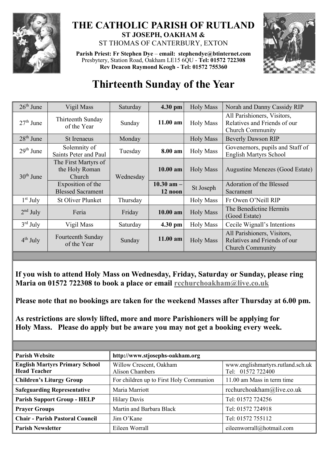

## **THE CATHOLIC PARISH OF RUTLAND ST JOSEPH, OAKHAM &**  ST THOMAS OF CANTERBURY, EXTON

**Parish Priest: Fr Stephen Dye** – **[email: stephendye@btinternet.com](mailto:email:%20%20stephendye@btinternet.com)** Presbytery, Station Road, Oakham LE15 6QU - **Tel: 01572 722308 Rev Deacon Raymond Keogh - Tel: 01572 755360**



## **Thirteenth Sunday of the Year**

| $26th$ June | Vigil Mass                                       | Saturday  | 4.30 pm                   | <b>Holy Mass</b> | Norah and Danny Cassidy RIP                                                            |
|-------------|--------------------------------------------------|-----------|---------------------------|------------------|----------------------------------------------------------------------------------------|
| $27th$ June | Thirteenth Sunday<br>of the Year                 | Sunday    | $11.00$ am                | <b>Holy Mass</b> | All Parishioners, Visitors,<br>Relatives and Friends of our<br><b>Church Community</b> |
| $28th$ June | St Irenaeus                                      | Monday    |                           | <b>Holy Mass</b> | <b>Beverly Dawson RIP</b>                                                              |
| $29th$ June | Solemnity of<br>Saints Peter and Paul            | Tuesday   | 8.00 am                   | <b>Holy Mass</b> | Govenernors, pupils and Staff of<br><b>English Martyrs School</b>                      |
| $30th$ June | The First Martyrs of<br>the Holy Roman<br>Church | Wednesday | $10.00$ am                | <b>Holy Mass</b> | Augustine Menezes (Good Estate)                                                        |
|             | Exposition of the<br><b>Blessed Sacrament</b>    |           | $10.30$ am $-$<br>12 noon | St Joseph        | Adoration of the Blessed<br>Sacrament                                                  |
| $1st$ July  | <b>St Oliver Plunket</b>                         | Thursday  |                           | <b>Holy Mass</b> | Fr Owen O'Neill RIP                                                                    |
| $2nd$ July  | Feria                                            | Friday    | 10.00 am                  | <b>Holy Mass</b> | The Benedictine Hermits<br>(Good Estate)                                               |
| $3rd$ July  | Vigil Mass                                       | Saturday  | 4.30 pm                   | <b>Holy Mass</b> | Cecile Wignall's Intentions                                                            |
| $4th$ July  | Fourteenth Sunday<br>of the Year                 | Sunday    | 11.00 am                  | <b>Holy Mass</b> | All Parishioners, Visitors,<br>Relatives and Friends of our<br><b>Church Community</b> |
|             |                                                  |           |                           |                  |                                                                                        |

**If you wish to attend Holy Mass on Wednesday, Friday, Saturday or Sunday, please ring Maria on 01572 722308 to book a place or email [rcchurchoakham@live.co.uk](mailto:rcchurchoakham@live.co.uk)**

**Please note that no bookings are taken for the weekend Masses after Thursday at 6.00 pm.**

**As restrictions are slowly lifted, more and more Parishioners will be applying for Holy Mass. Please do apply but be aware you may not get a booking every week.**

| <b>Parish Website</b>                                        | http://www.stjosephs-oakham.org            |                                                        |  |  |
|--------------------------------------------------------------|--------------------------------------------|--------------------------------------------------------|--|--|
| <b>English Martyrs Primary School</b><br><b>Head Teacher</b> | Willow Crescent, Oakham<br>Alison Chambers | www.englishmartyrs.rutland.sch.uk<br>Tel: 01572 722400 |  |  |
| <b>Children's Liturgy Group</b>                              | For children up to First Holy Communion    | 11.00 am Mass in term time                             |  |  |
| <b>Safeguarding Representative</b>                           | Maria Marriott                             | rcchurchoakham@live.co.uk                              |  |  |
| <b>Parish Support Group - HELP</b>                           | <b>Hilary Davis</b>                        | Tel: 01572 724256                                      |  |  |
| <b>Prayer Groups</b>                                         | Martin and Barbara Black                   | Tel: 01572 724918                                      |  |  |
| <b>Chair - Parish Pastoral Council</b>                       | Jim O'Kane                                 | Tel: 01572 755112                                      |  |  |
| <b>Parish Newsletter</b>                                     | Eileen Worrall                             | eileenworrall@hotmail.com                              |  |  |